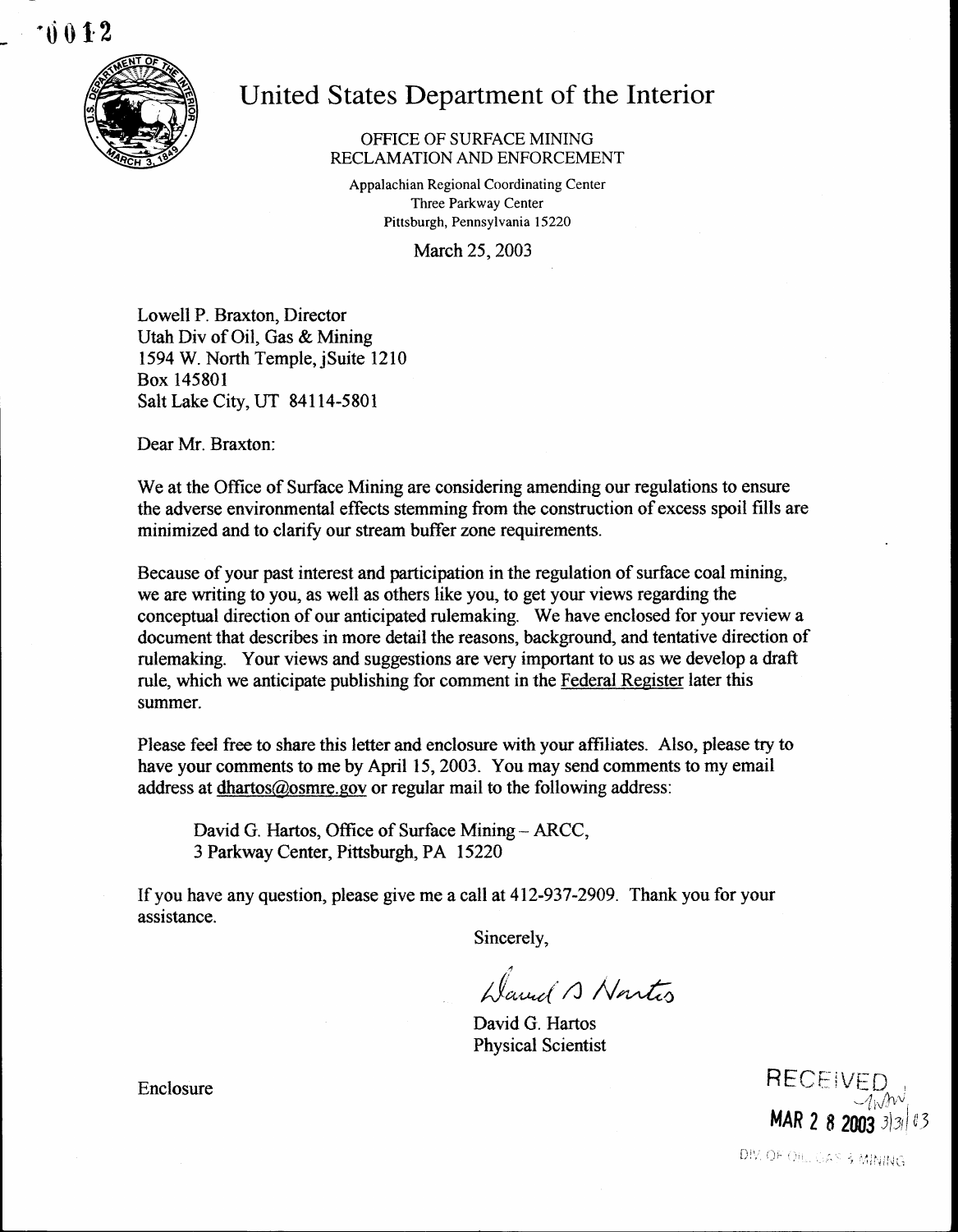

# United States Department of the Interior

# OFFICE OF SURFACE MINING RECLAMATION AND ENFORCEMENT

Appalachian Regional Coordinating Center Three Parkway Center Pittsburgh, Pennsylvania 15220

March 25, 2003

Lowell P. Braxton, Director Utah Div of Oil, Gas & Mining 1594 W. North Temple, jSuite 1210 Box 145801 Salt Lake City, UT 84114-5801

Dear Mr. Braxton:

We at the Office of Surface Mining are considering amending our regulations to ensure the adverse environmental effects stemming from the construction of excess spoil fills are minimized and to clarify our stream buffer zone requirements.

Because of your past interest and participation in the regulation of surface coal mining, we are writing to you, as well as others like you, to get your views regarding the conceptual direction of our anticipated rulemaking. We have enclosed for your review a document that describes in more detail the reasons, background, and tentative direction of rulemaking. Your views and suggestions are very important to us as we develop a draft rule, which we anticipate publishing for comment in the Federal Register later this summer.

Please feel free to share this letter and enclosure with your affiliates. Also, please try to have your comments to me by April 15, 2003. You may send comments to my email address at dhartos@osmre.gov or regular mail to the following address:

David G. Hartos, Office of Surface Mining - ARCC, 3 Parkway Center, Pittsburgh, PA 15220

If you have any question, please give me a call at 412-937-2909 . Thank you for your assistance .

Sincerely,

Hannel A Nortes

David G. Hartos Physical Scientist

RECEIVI MAR 2 8 2003  $3|3|$ 

DIV. OF OILL CAS & MINING

Enclosure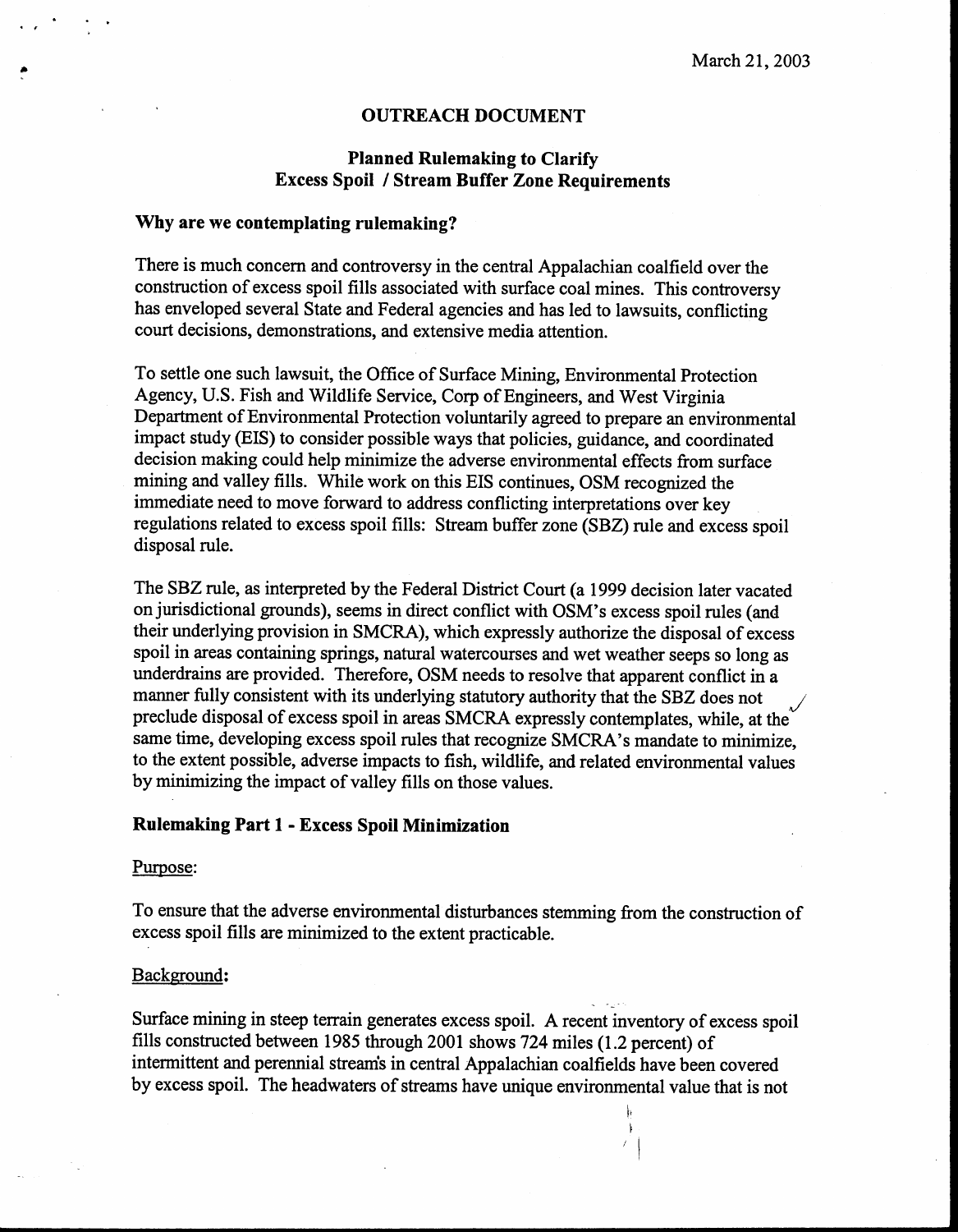#### OUTREACH DOCUMENT

# Planned Rulemaking to Clarify Excess Spoil I Stream Buffer Zone Requirements

# Why are we contemplating rulemaking?

There is much concern and controversy in the central Appalachian coalfield over the construction of excess spoil fills associated with surface coal mines. This controversy has enveloped several State and Federal agencies and has led to lawsuits, conflicting court decisions, demonstrations, and extensive media attention.

To settle one such lawsuit, the Office of Surface Mining, Environmental Protection Agency, U.S. Fish and Wildlife Service, Corp of Engineers, and West Virginia Department of Environmental Protection voluntarily agreed to prepare an environmental impact study (EIS) to consider possible ways that policies, guidance, and coordinated decision making could help minimize the adverse environmental effects from surface mining and valley fills. While work on this EIS continues, OSM recognized the immediate need to move forward to address conflicting interpretations over key regulations related to excess spoil fills: Stream buffer zone (SBZ) rule and excess spoil disposal rule.

The SBZ rule, as interpreted by the Federal District Court (a 1999 decision later vacated on jurisdictional grounds), seems in direct conflict with OSM's excess spoil rules (and their underlying provision in SMCRA), which expressly authorize the disposal of excess spoil in areas containing springs, natural watercourses and wet weather seeps so long as underdrains are provided. Therefore, OSM needs to resolve that apparent conflict in a manner fully consistent with its underlying statutory authority that the SBZ does not preclude disposal of excess spoil in areas SMCRA expressly contemplates, while, at the same time, developing excess spoil rules that recognize SMCRA's mandate to minimize, to the extent possible, adverse impacts to fish, wildlife, and related environmental values by minimizing the impact of valley fills on those values.

# Rulemaking Part 1 - Excess Spoil Minimization

#### Purpose:

To ensure that the adverse environmental disturbances stemming from the construction of excess spoil fills are minimized to the extent practicable .

#### Background:

Surface mining in steep terrain generates excess spoil . A recent inventory of excess spoil fills constructed between 1985 through 2001 shows 724 miles (1 .2 percent) of intermittent and perennial streams in central Appalachian coalfields have been covered by excess spoil. The headwaters of streams have unique environmental value that is not

> h  $\ddot{\phantom{1}}$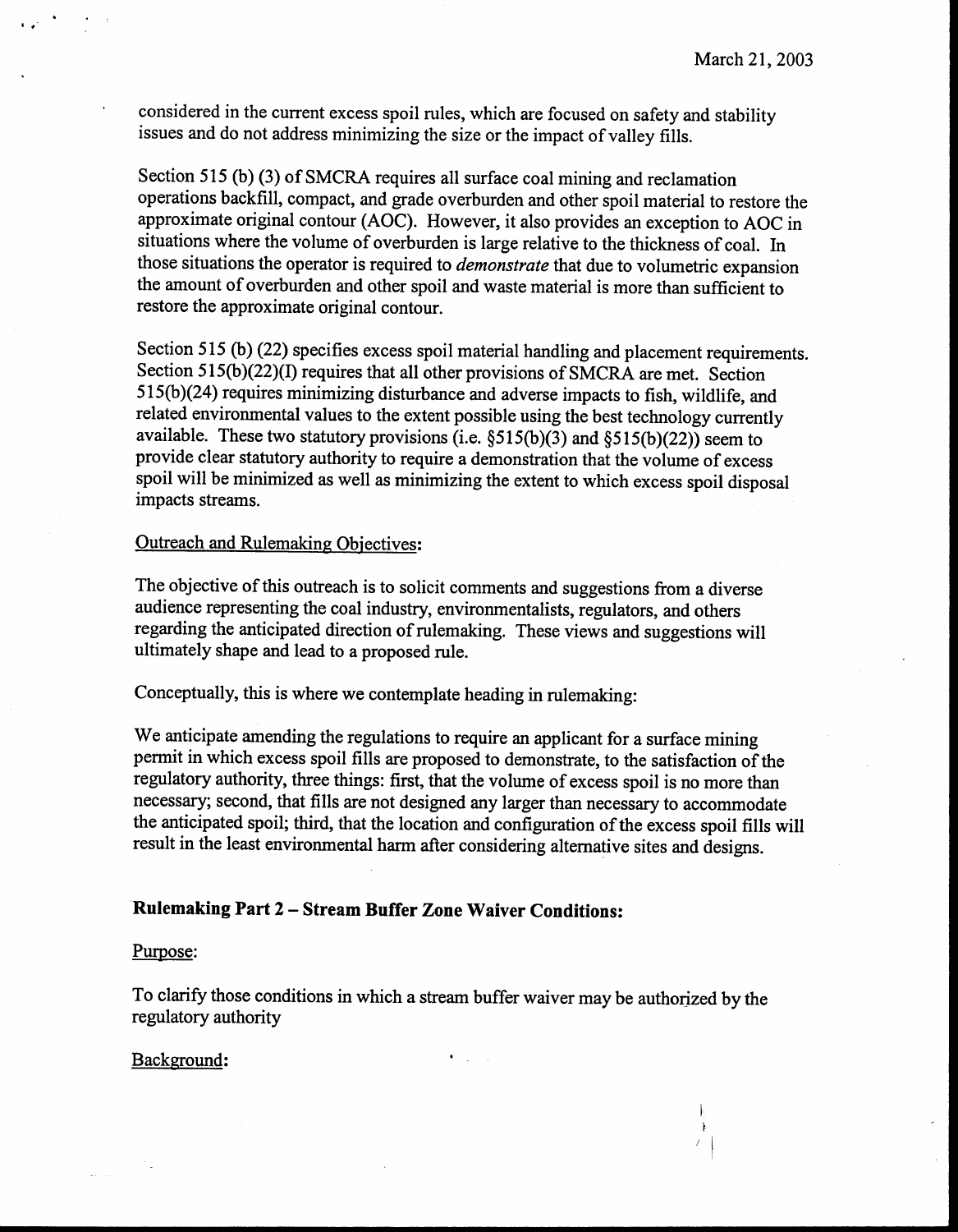considered in the current excess spoil rules, which are focused on safety and stability issues and do not address minimizing the size or the impact of valley fills.

Section 515 (b) (3) of SMCRA requires all surface coal mining and reclamation operations backfill, compact, and grade overburden and other spoil material to restore the approximate original contour (AOC) . However, it also provides an exception to AOC in situations where the volume of overburden is large relative to the thickness of coal . In those situations the operator is required to *demonstrate* that due to volumetric expansion the amount of overburden and other spoil and waste material is more than sufficient to restore the approximate original contour.

Section 515 (b) (22) specifies excess spoil material handling and placement requirements. Section 515(b)(22)(I) requires that all other provisions of SMCRA are met. Section 515(b)(24) requires minimizing disturbance and adverse impacts to fish, wildlife, and related environmental values to the extent possible using the best technology currently available. These two statutory provisions (i.e.  $\S515(b)(3)$  and  $\S515(b)(22)$ ) seem to provide clear statutory authority to require a demonstration that the volume of excess spoil will be minimized as well as minimizing the extent to which excess spoil disposal impacts streams.

# Outreach and Rulemaking Objectives:

The objective of this outreach is to solicit comments and suggestions from a diverse audience representing the coal industry, environmentalists, regulators, and others regarding the anticipated direction of rulemaking. These views and suggestions will ultimately shape and lead to a proposed rule.

Conceptually, this is where we contemplate heading in rulemaking:

We anticipate amending the regulations to require an applicant for a surface mining permit in which excess spoil fills are proposed to demonstrate, to the satisfaction of the regulatory authority, three things: first, that the volume of excess spoil is no more than necessary; second, that fills are not designed any larger than necessary to accommodate the anticipated spoil; third, that the location and configuration of the excess spoil fills will result in the least environmental harm after considering alternative sites and designs .

# Rulemaking Part 2 - Stream Buffer Zone Waiver Conditions:

#### Purpose:

To clarify those conditions in which a stream buffer waiver may be authorized by the regulatory authority

 $\bullet$  -  $\downarrow$  -  $\downarrow$ 

#### Background: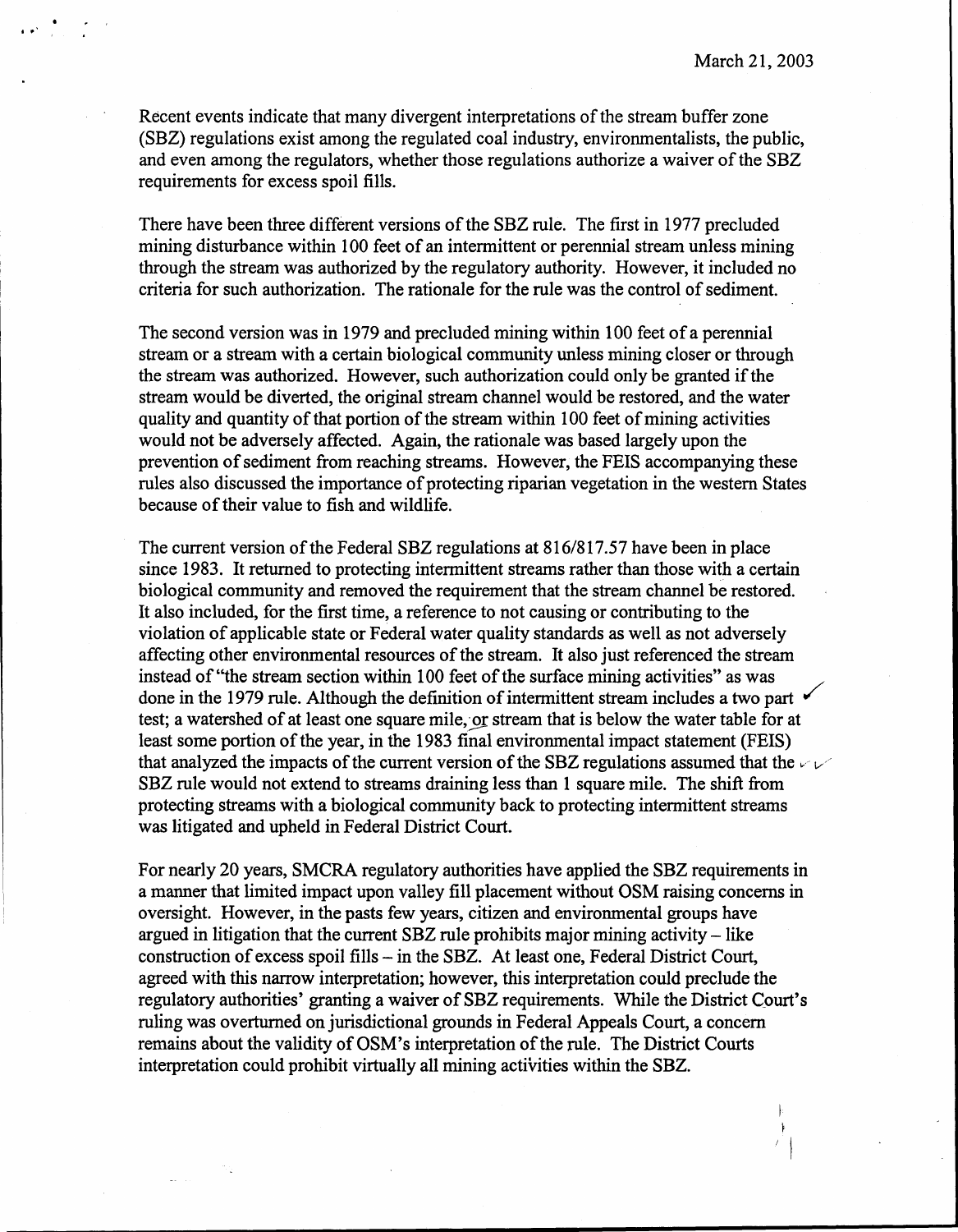$\mathbf{E}$  $\ddot{\phantom{1}}$ 

Recent events indicate that many divergent interpretations of the stream buffer zone (SBZ) regulations exist among the regulated coal industry, environmentalists, the public, and even among the regulators, whether those regulations authorize a waiver of the SBZ requirements for excess spoil fills.

There have been three different versions of the SBZ rule . The first in 1977 precluded mining disturbance within 100 feet of an intermittent or perennial stream unless mining through the stream was authorized by the regulatory authority . However, it included no criteria for such authorization. The rationale for the rule was the control of sediment.

The second version was in 1979 and precluded mining within 100 feet of a perennial stream or a stream with a certain biological community unless mining closer or through the stream was authorized. However, such authorization could only be granted if the stream would be diverted, the original stream channel would be restored, and the water quality and quantity of that portion of the stream within 100 feet of mining activities would not be adversely affected. Again, the rationale was based largely upon the prevention of sediment from reaching streams. However, the FEIS accompanying these rules also discussed the importance of protecting riparian vegetation in the western States because of their value to fish and wildlife.

The current version of the Federal SBZ regulations at 816/817.57 have been in place since 1983. It returned to protecting intermittent streams rather than those with a certain biological community and removed the requirement that the stream channel be restored. It also included, for the first time, a reference to not causing or contributing to the violation of applicable state or Federal water quality standards as well as not adversely affecting other environmental resources of the stream. It also just referenced the stream instead of "the stream section within 100 feet of the surface mining activities" as was done in the 1979 rule. Although the definition of intermittent stream includes a two part test; a watershed of at least one square mile, or stream that is below the water table for at least some portion of the year, in the 1983 final environmental impact statement (FEIS) that analyzed the impacts of the current version of the SBZ regulations assumed that the  $\vee \vee$ SBZ rule would not extend to streams draining less than 1 square mile . The shift from protecting streams with a biological community back to protecting intermittent streams was litigated and upheld in Federal District Court.

For nearly 20 years, SMCRA regulatory authorities have applied the SBZ requirements in a manner that limited impact upon valley fill placement without OSM raising concerns in oversight. However, in the pasts few years, citizen and environmental groups have argued in litigation that the current  $SBZ$  rule prohibits major mining activity – like construction of excess spoil fills - in the SBZ. At least one, Federal District Court, agreed with this narrow interpretation ; however, this interpretation could preclude the regulatory authorities' granting a waiver of SBZ requirements. While the District Court's ruling was overturned on jurisdictional grounds in Federal Appeals Court, a concern remains about the validity of OSM's interpretation of the rule. The District Courts interpretation could prohibit virtually all mining activities within the SBZ .

 $\omega_{\rm{max}}$